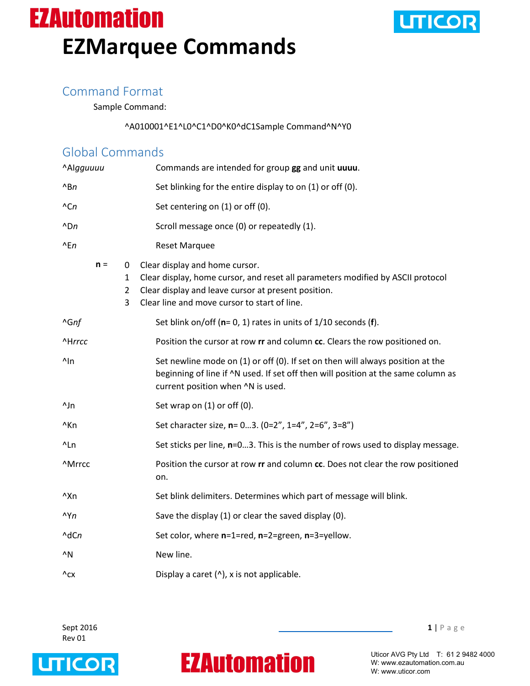# **EZAutomation EZMarquee Commands**



### Command Format

Sample Command:

^A010001^E1^L0^C1^D0^K0^dC1Sample Command^N^Y0

### Global Commands

| ^Algguuuu      |       |                               | Commands are intended for group gg and unit uuuu.                                                                                                                                                                        |
|----------------|-------|-------------------------------|--------------------------------------------------------------------------------------------------------------------------------------------------------------------------------------------------------------------------|
| $^{\wedge}$ Bn |       |                               | Set blinking for the entire display to on (1) or off (0).                                                                                                                                                                |
| $^{\wedge}$ Cn |       |                               | Set centering on (1) or off (0).                                                                                                                                                                                         |
| $^{\wedge}$ Dn |       |                               | Scroll message once (0) or repeatedly (1).                                                                                                                                                                               |
| $^{\wedge}En$  |       |                               | <b>Reset Marquee</b>                                                                                                                                                                                                     |
|                | $n =$ | 0<br>1<br>$\overline{2}$<br>3 | Clear display and home cursor.<br>Clear display, home cursor, and reset all parameters modified by ASCII protocol<br>Clear display and leave cursor at present position.<br>Clear line and move cursor to start of line. |
| ^Gnf           |       |                               | Set blink on/off ( $n=0$ , 1) rates in units of $1/10$ seconds (f).                                                                                                                                                      |
| ^Hrrcc         |       |                               | Position the cursor at row rr and column cc. Clears the row positioned on.                                                                                                                                               |
| $^{\prime}$ In |       |                               | Set newline mode on (1) or off (0). If set on then will always position at the<br>beginning of line if ^N used. If set off then will position at the same column as<br>current position when ^N is used.                 |
| ^Jn            |       |                               | Set wrap on (1) or off (0).                                                                                                                                                                                              |
| ^Kn            |       |                               | Set character size, n= 03. (0=2", 1=4", 2=6", 3=8")                                                                                                                                                                      |
| ^Ln            |       |                               | Set sticks per line, n=03. This is the number of rows used to display message.                                                                                                                                           |
| ^Mrrcc         |       |                               | Position the cursor at row rr and column cc. Does not clear the row positioned<br>on.                                                                                                                                    |
| ^Xn            |       |                               | Set blink delimiters. Determines which part of message will blink.                                                                                                                                                       |
| $\Delta Yn$    |       |                               | Save the display (1) or clear the saved display (0).                                                                                                                                                                     |
| AdCn           |       |                               | Set color, where n=1=red, n=2=green, n=3=yellow.                                                                                                                                                                         |
| $^{\wedge}$ N  |       |                               | New line.                                                                                                                                                                                                                |
| $^{\wedge}$ CX |       |                               | Display a caret (^), x is not applicable.                                                                                                                                                                                |

Rev 01



## **EZAutomation**

Sept 2016 **1** | P a g e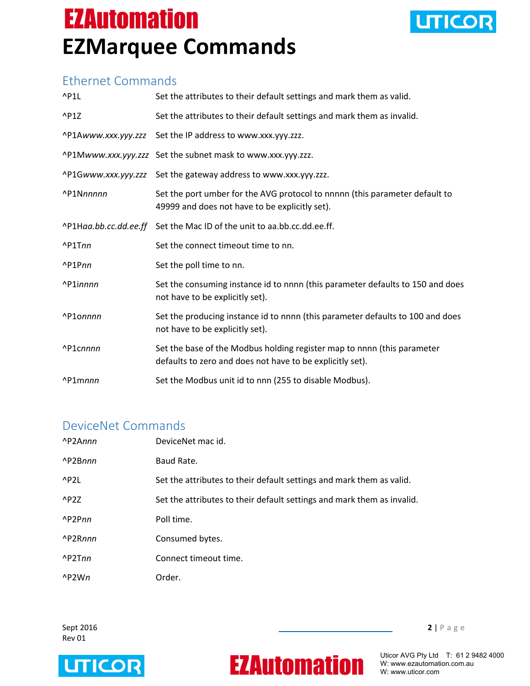## **EZAutomation EZMarquee Commands**



### Ethernet Commands

| $^{\wedge}$ P1L       | Set the attributes to their default settings and mark them as valid.                                                                 |
|-----------------------|--------------------------------------------------------------------------------------------------------------------------------------|
| $\text{P1Z}$          | Set the attributes to their default settings and mark them as invalid.                                                               |
| ^P1Awww.xxx.yyy.zzz   | Set the IP address to www.xxx.yyy.zzz.                                                                                               |
|                       | ^P1Mwww.xxx.yyy.zzz Set the subnet mask to www.xxx.yyy.zzz.                                                                          |
| ^P1Gwww.xxx.yyy.zzz   | Set the gateway address to www.xxx.yyy.zzz.                                                                                          |
| ^P1Nnnnnn             | Set the port umber for the AVG protocol to nnnnn (this parameter default to<br>49999 and does not have to be explicitly set).        |
| ^P1Haa.bb.cc.dd.ee.ff | Set the Mac ID of the unit to aa.bb.cc.dd.ee.ff.                                                                                     |
| ^P1Tnn                | Set the connect timeout time to nn.                                                                                                  |
| $^{\wedge}$ P1Pnn     | Set the poll time to nn.                                                                                                             |
| ^P1innnn              | Set the consuming instance id to nnnn (this parameter defaults to 150 and does<br>not have to be explicitly set).                    |
| ^P1onnnn              | Set the producing instance id to nnnn (this parameter defaults to 100 and does<br>not have to be explicitly set).                    |
| ^P1cnnnn              | Set the base of the Modbus holding register map to nnnn (this parameter<br>defaults to zero and does not have to be explicitly set). |
| ^P1mnnn               | Set the Modbus unit id to nnn (255 to disable Modbus).                                                                               |

#### DeviceNet Commands

| ^P2Annn           | DeviceNet mac id.                                                      |
|-------------------|------------------------------------------------------------------------|
| ^P2Bnnn           | Baud Rate.                                                             |
| ^P2L              | Set the attributes to their default settings and mark them as valid.   |
| AP2Z              | Set the attributes to their default settings and mark them as invalid. |
| $^{\wedge}$ P2Pnn | Poll time.                                                             |
| ^P2Rnnn           | Consumed bytes.                                                        |
| $^{\wedge}$ P2Tnn | Connect timeout time.                                                  |
| $^{\wedge}P2Wn$   | Order.                                                                 |

Sept 2016 **2** | P a g e Rev 01